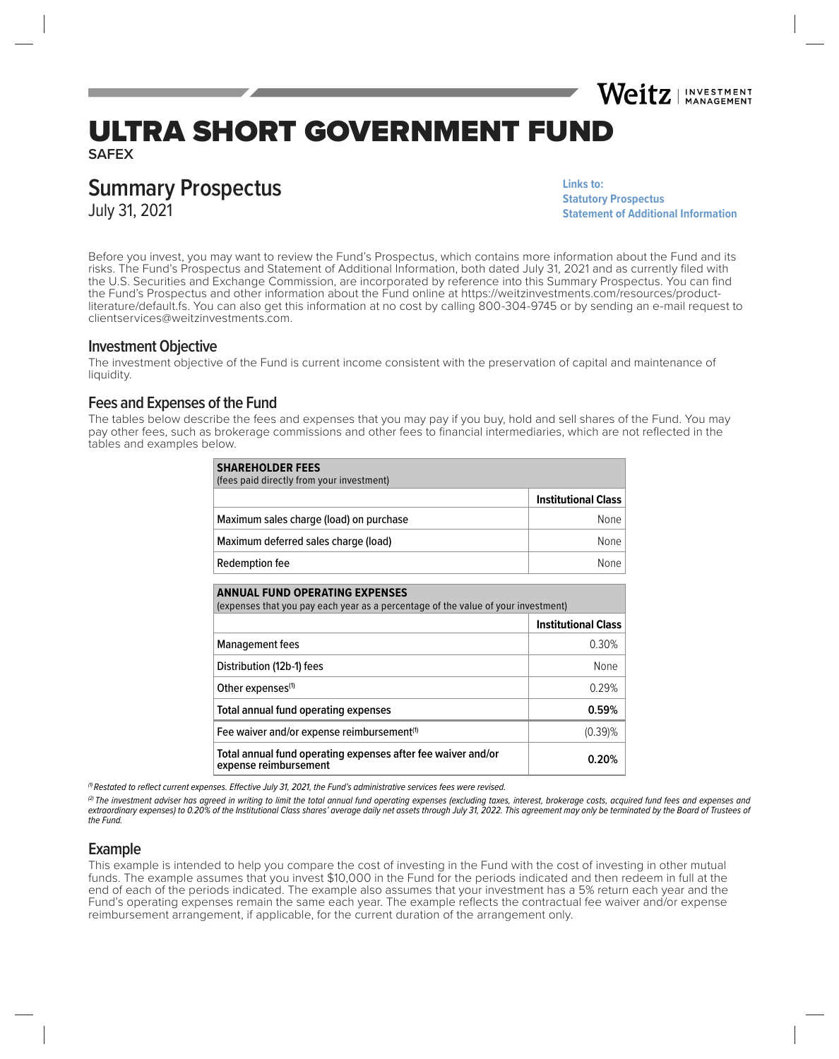# ULTRA SHORT GOVERNMENT FUND

**SAFEX**

# **Summary Prospectus**

July 31, 2021

**Links to: [Statutory Prospectus](https://weitzinvestments.com/sitefiles/live/documents/funds/prospectuses/WeitzFundsProspectus.pdf) [Statement of Additional Information](https://weitzinvestments.com/sitefiles/live/documents/funds/sai/WeitzSAI.pdf)**

Weitz | INVESTMENT

Before you invest, you may want to review the Fund's Prospectus, which contains more information about the Fund and its risks. The Fund's Prospectus and Statement of Additional Information, both dated July 31, 2021 and as currently filed with the U.S. Securities and Exchange Commission, are incorporated by reference into this Summary Prospectus. You can find the Fund's Prospectus and other information about the Fund online at https://weitzinvestments.com/resources/productliterature/default.fs. You can also get this information at no cost by calling 800-304-9745 or by sending an e-mail request to clientservices@weitzinvestments.com.

### **Investment Objective**

The investment objective of the Fund is current income consistent with the preservation of capital and maintenance of liquidity.

# **Fees and Expenses of the Fund**

The tables below describe the fees and expenses that you may pay if you buy, hold and sell shares of the Fund. You may pay other fees, such as brokerage commissions and other fees to financial intermediaries, which are not reflected in the tables and examples below.

| <b>SHAREHOLDER FEES</b><br>(fees paid directly from your investment) |                            |
|----------------------------------------------------------------------|----------------------------|
|                                                                      | <b>Institutional Class</b> |
| Maximum sales charge (load) on purchase                              | None                       |
| Maximum deferred sales charge (load)                                 | None                       |
| Redemption fee                                                       | None                       |

| <b>ANNUAL FUND OPERATING EXPENSES</b><br>(expenses that you pay each year as a percentage of the value of your investment) |                            |  |  |  |
|----------------------------------------------------------------------------------------------------------------------------|----------------------------|--|--|--|
|                                                                                                                            | <b>Institutional Class</b> |  |  |  |
| <b>Management fees</b>                                                                                                     | 0.30%                      |  |  |  |
| Distribution (12b-1) fees                                                                                                  | None                       |  |  |  |
| Other expenses <sup>(1)</sup>                                                                                              | 0.29%                      |  |  |  |
| Total annual fund operating expenses                                                                                       | 0.59%                      |  |  |  |
| Fee waiver and/or expense reimbursement <sup>(1)</sup>                                                                     | $(0.39)$ %                 |  |  |  |
| Total annual fund operating expenses after fee waiver and/or<br>expense reimbursement                                      | 0.20%                      |  |  |  |

 $\theta$  Restated to reflect current expenses. Effective July 31, 2021, the Fund's administrative services fees were revised.

<sup>(2)</sup> The investment adviser has agreed in writing to limit the total annual fund operating expenses (excluding taxes, interest, brokerage costs, acquired fund fees and expenses and extraordinary expenses) to 0.20% of the Institutional Class shares' average daily net assets through July 31, 2022. This agreement may only be terminated by the Board of Trustees of the Fund.

#### **Example**

This example is intended to help you compare the cost of investing in the Fund with the cost of investing in other mutual funds. The example assumes that you invest \$10,000 in the Fund for the periods indicated and then redeem in full at the end of each of the periods indicated. The example also assumes that your investment has a 5% return each year and the Fund's operating expenses remain the same each year. The example reflects the contractual fee waiver and/or expense reimbursement arrangement, if applicable, for the current duration of the arrangement only.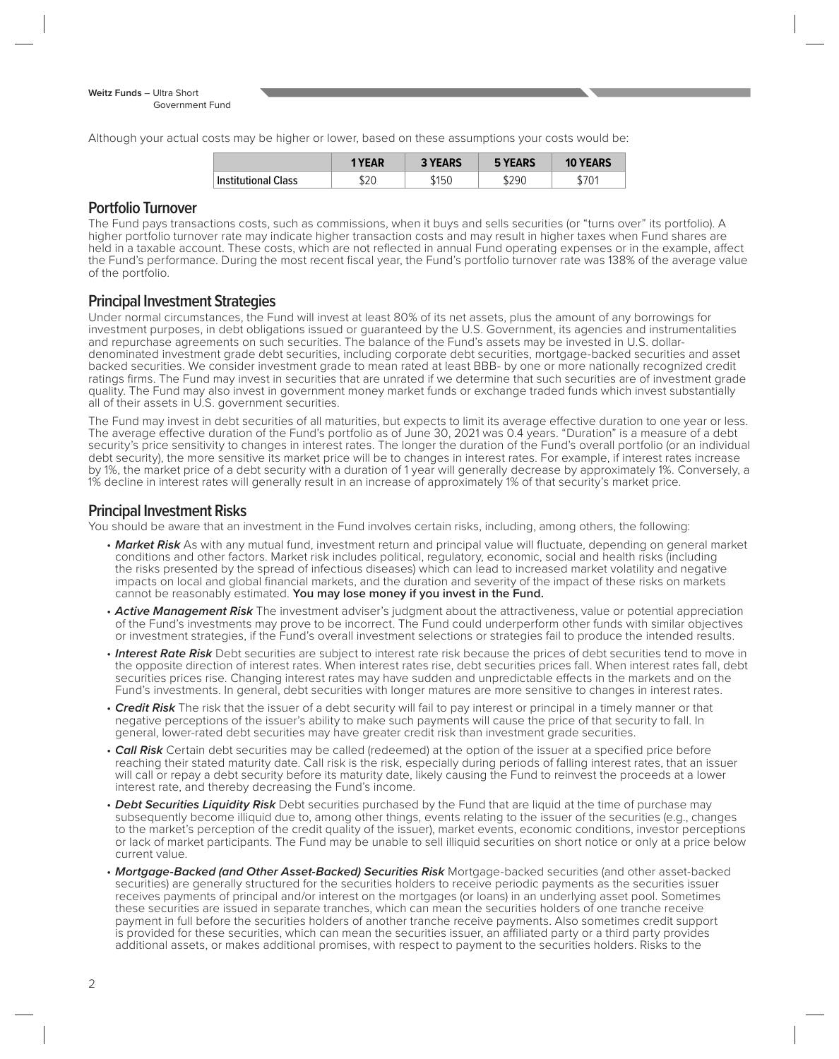Although your actual costs may be higher or lower, based on these assumptions your costs would be:

|                            | <b>YEAR</b> | <b>3 YEARS</b> | <b>5 YEARS</b> | <b>YEARS</b><br>10 |
|----------------------------|-------------|----------------|----------------|--------------------|
| <b>Institutional Class</b> | เวก<br>J∠∪  | \$150          | \$290          | D<br>$\cdot$ v,    |

#### **Portfolio Turnover**

The Fund pays transactions costs, such as commissions, when it buys and sells securities (or "turns over" its portfolio). A higher portfolio turnover rate may indicate higher transaction costs and may result in higher taxes when Fund shares are held in a taxable account. These costs, which are not reflected in annual Fund operating expenses or in the example, affect the Fund's performance. During the most recent fiscal year, the Fund's portfolio turnover rate was 138% of the average value of the portfolio.

# **Principal Investment Strategies**

Under normal circumstances, the Fund will invest at least 80% of its net assets, plus the amount of any borrowings for investment purposes, in debt obligations issued or guaranteed by the U.S. Government, its agencies and instrumentalities and repurchase agreements on such securities. The balance of the Fund's assets may be invested in U.S. dollardenominated investment grade debt securities, including corporate debt securities, mortgage-backed securities and asset backed securities. We consider investment grade to mean rated at least BBB- by one or more nationally recognized credit ratings firms. The Fund may invest in securities that are unrated if we determine that such securities are of investment grade quality. The Fund may also invest in government money market funds or exchange traded funds which invest substantially all of their assets in U.S. government securities.

The Fund may invest in debt securities of all maturities, but expects to limit its average effective duration to one year or less. The average effective duration of the Fund's portfolio as of June 30, 2021 was 0.4 years. "Duration" is a measure of a debt security's price sensitivity to changes in interest rates. The longer the duration of the Fund's overall portfolio (or an individual debt security), the more sensitive its market price will be to changes in interest rates. For example, if interest rates increase by 1%, the market price of a debt security with a duration of 1 year will generally decrease by approximately 1%. Conversely, a 1% decline in interest rates will generally result in an increase of approximately 1% of that security's market price.

#### **Principal Investment Risks**

You should be aware that an investment in the Fund involves certain risks, including, among others, the following:

- Market Risk As with any mutual fund, investment return and principal value will fluctuate, depending on general market conditions and other factors. Market risk includes political, regulatory, economic, social and health risks (including the risks presented by the spread of infectious diseases) which can lead to increased market volatility and negative impacts on local and global financial markets, and the duration and severity of the impact of these risks on markets cannot be reasonably estimated. **You may lose money if you invest in the Fund.**
- **Active Management Risk** The investment adviser's judgment about the attractiveness, value or potential appreciation of the Fund's investments may prove to be incorrect. The Fund could underperform other funds with similar objectives or investment strategies, if the Fund's overall investment selections or strategies fail to produce the intended results.
- **Interest Rate Risk** Debt securities are subject to interest rate risk because the prices of debt securities tend to move in the opposite direction of interest rates. When interest rates rise, debt securities prices fall. When interest rates fall, debt securities prices rise. Changing interest rates may have sudden and unpredictable effects in the markets and on the Fund's investments. In general, debt securities with longer matures are more sensitive to changes in interest rates.
- **Credit Risk** The risk that the issuer of a debt security will fail to pay interest or principal in a timely manner or that negative perceptions of the issuer's ability to make such payments will cause the price of that security to fall. In general, lower-rated debt securities may have greater credit risk than investment grade securities.
- Call Risk Certain debt securities may be called (redeemed) at the option of the issuer at a specified price before reaching their stated maturity date. Call risk is the risk, especially during periods of falling interest rates, that an issuer will call or repay a debt security before its maturity date, likely causing the Fund to reinvest the proceeds at a lower interest rate, and thereby decreasing the Fund's income.
- **Debt Securities Liquidity Risk** Debt securities purchased by the Fund that are liquid at the time of purchase may subsequently become illiquid due to, among other things, events relating to the issuer of the securities (e.g., changes to the market's perception of the credit quality of the issuer), market events, economic conditions, investor perceptions or lack of market participants. The Fund may be unable to sell illiquid securities on short notice or only at a price below current value.
- **Mortgage-Backed (and Other Asset-Backed) Securities Risk** Mortgage-backed securities (and other asset-backed securities) are generally structured for the securities holders to receive periodic payments as the securities issuer receives payments of principal and/or interest on the mortgages (or loans) in an underlying asset pool. Sometimes these securities are issued in separate tranches, which can mean the securities holders of one tranche receive payment in full before the securities holders of another tranche receive payments. Also sometimes credit support is provided for these securities, which can mean the securities issuer, an affiliated party or a third party provides additional assets, or makes additional promises, with respect to payment to the securities holders. Risks to the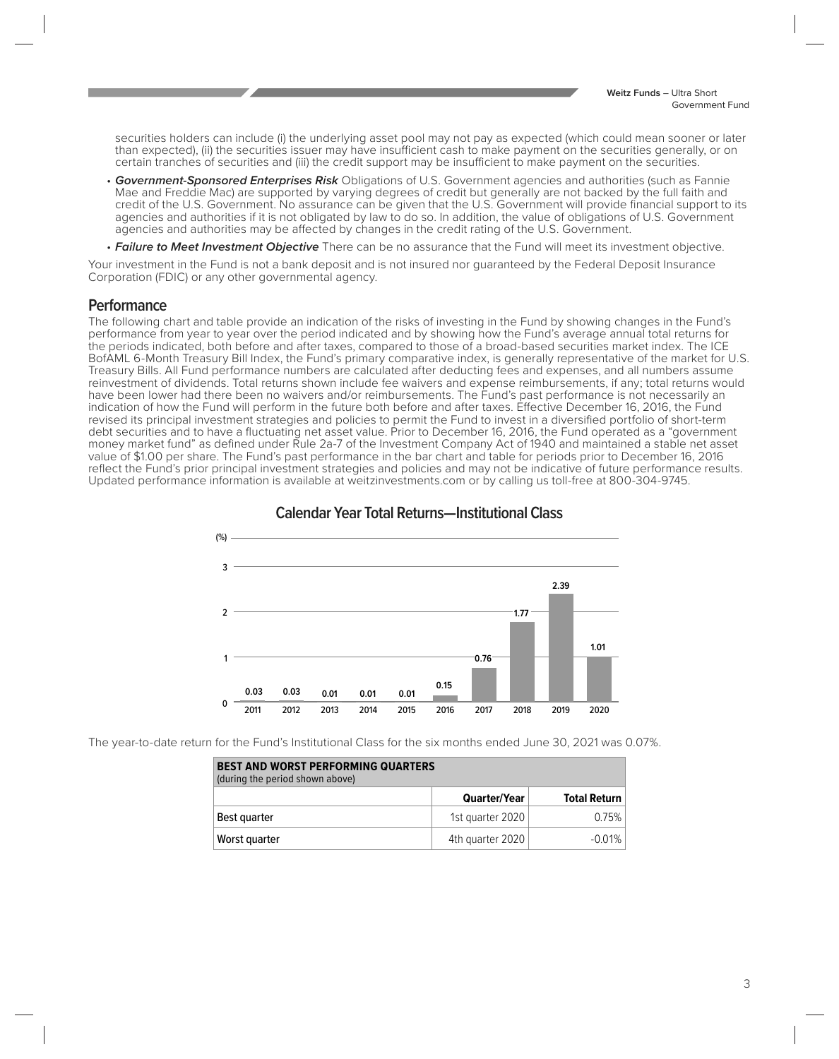securities holders can include (i) the underlying asset pool may not pay as expected (which could mean sooner or later than expected), (ii) the securities issuer may have insufficient cash to make payment on the securities generally, or on certain tranches of securities and (iii) the credit support may be insufficient to make payment on the securities.

- **Government-Sponsored Enterprises Risk** Obligations of U.S. Government agencies and authorities (such as Fannie Mae and Freddie Mac) are supported by varying degrees of credit but generally are not backed by the full faith and credit of the U.S. Government. No assurance can be given that the U.S. Government will provide financial support to its agencies and authorities if it is not obligated by law to do so. In addition, the value of obligations of U.S. Government agencies and authorities may be affected by changes in the credit rating of the U.S. Government.
- **Failure to Meet Investment Objective** There can be no assurance that the Fund will meet its investment objective.

Your investment in the Fund is not a bank deposit and is not insured nor guaranteed by the Federal Deposit Insurance Corporation (FDIC) or any other governmental agency.

### **Performance**

The following chart and table provide an indication of the risks of investing in the Fund by showing changes in the Fund's performance from year to year over the period indicated and by showing how the Fund's average annual total returns for the periods indicated, both before and after taxes, compared to those of a broad-based securities market index. The ICE BofAML 6-Month Treasury Bill Index, the Fund's primary comparative index, is generally representative of the market for U.S. Treasury Bills. All Fund performance numbers are calculated after deducting fees and expenses, and all numbers assume reinvestment of dividends. Total returns shown include fee waivers and expense reimbursements, if any; total returns would have been lower had there been no waivers and/or reimbursements. The Fund's past performance is not necessarily an indication of how the Fund will perform in the future both before and after taxes. Effective December 16, 2016, the Fund revised its principal investment strategies and policies to permit the Fund to invest in a diversified portfolio of short-term debt securities and to have a fluctuating net asset value. Prior to December 16, 2016, the Fund operated as a "government money market fund" as defined under Rule 2a-7 of the Investment Company Act of 1940 and maintained a stable net asset value of \$1.00 per share. The Fund's past performance in the bar chart and table for periods prior to December 16, 2016 reflect the Fund's prior principal investment strategies and policies and may not be indicative of future performance results. Updated performance information is available at weitzinvestments.com or by calling us toll-free at 800-304-9745.



#### **Calendar Year Total Returns—Institutional Class**

The year-to-date return for the Fund's Institutional Class for the six months ended June 30, 2021 was 0.07%.

| <b>BEST AND WORST PERFORMING QUARTERS</b><br>(during the period shown above) |                  |                     |  |  |  |
|------------------------------------------------------------------------------|------------------|---------------------|--|--|--|
|                                                                              | Quarter/Year     | <b>Total Return</b> |  |  |  |
| Best quarter                                                                 | 1st guarter 2020 | 0.75%               |  |  |  |
| Worst quarter                                                                | 4th quarter 2020 | $-0.01%$            |  |  |  |